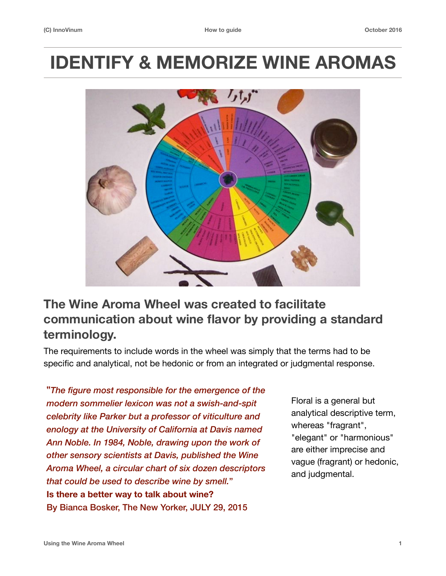# **IDENTIFY & MEMORIZE WINE AROMAS**



# **The Wine Aroma Wheel was created to facilitate communication about wine flavor by providing a standard terminology.**

The requirements to include words in the wheel was simply that the terms had to be specific and analytical, not be hedonic or from an integrated or judgmental response.

**"***The figure most responsible for the emergence of the modern sommelier lexicon was not a swish-and-spit celebrity like Parker but a professor of viticulture and enology at the University of California at Davis named Ann Noble. In 1984, Noble, drawing upon the work of other sensory scientists at Davis, published the Wine Aroma Wheel, a circular chart of six dozen descriptors that could be used to describe wine by smell.*" **Is there a better way to talk about wine?**  By Bianca Bosker, The New Yorker, JULY 29, 2015

Floral is a general but analytical descriptive term, whereas "fragrant", "elegant" or "harmonious" are either imprecise and vague (fragrant) or hedonic, and judgmental.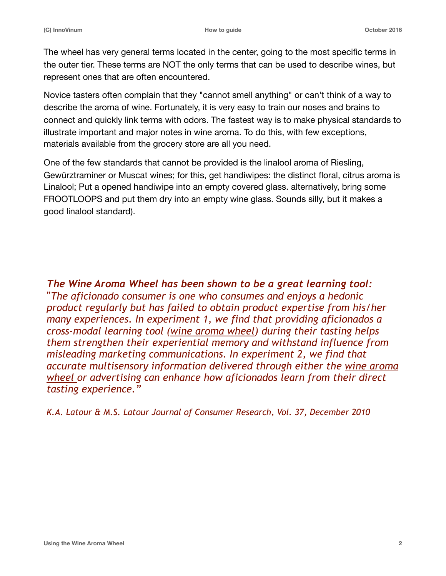The wheel has very general terms located in the center, going to the most specific terms in the outer tier. These terms are NOT the only terms that can be used to describe wines, but represent ones that are often encountered.

Novice tasters often complain that they "cannot smell anything" or can't think of a way to describe the aroma of wine. Fortunately, it is very easy to train our noses and brains to connect and quickly link terms with odors. The fastest way is to make physical standards to illustrate important and major notes in wine aroma. To do this, with few exceptions, materials available from the grocery store are all you need.

One of the few standards that cannot be provided is the linalool aroma of Riesling, Gewürztraminer or Muscat wines; for this, get handiwipes: the distinct floral, citrus aroma is Linalool; Put a opened handiwipe into an empty covered glass. alternatively, bring some FROOTLOOPS and put them dry into an empty wine glass. Sounds silly, but it makes a good linalool standard).

*The Wine Aroma Wheel has been shown to be a great learning tool:*  "*The aficionado consumer is one who consumes and enjoys a hedonic product regularly but has failed to obtain product expertise from his/her many experiences. In experiment 1, we find that providing aficionados a cross-modal learning tool (wine aroma wheel) during their tasting helps them strengthen their experiential memory and withstand influence from misleading marketing communications. In experiment 2, we find that accurate multisensory information delivered through either the wine aroma wheel or advertising can enhance how aficionados learn from their direct tasting experience."*

*K.A. Latour & M.S. Latour Journal of Consumer Research, Vol. 37, December 2010*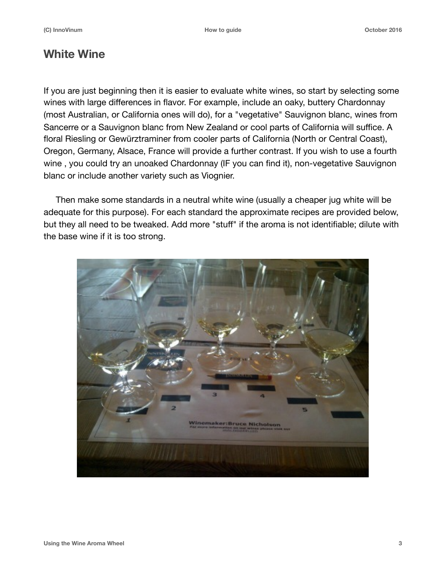### **White Wine**

If you are just beginning then it is easier to evaluate white wines, so start by selecting some wines with large differences in flavor. For example, include an oaky, buttery Chardonnay (most Australian, or California ones will do), for a "vegetative" Sauvignon blanc, wines from Sancerre or a Sauvignon blanc from New Zealand or cool parts of California will suffice. A floral Riesling or Gewürztraminer from cooler parts of California (North or Central Coast), Oregon, Germany, Alsace, France will provide a further contrast. If you wish to use a fourth wine , you could try an unoaked Chardonnay (IF you can find it), non-vegetative Sauvignon blanc or include another variety such as Viognier.

 Then make some standards in a neutral white wine (usually a cheaper jug white will be adequate for this purpose). For each standard the approximate recipes are provided below, but they all need to be tweaked. Add more "stuff" if the aroma is not identifiable; dilute with the base wine if it is too strong.

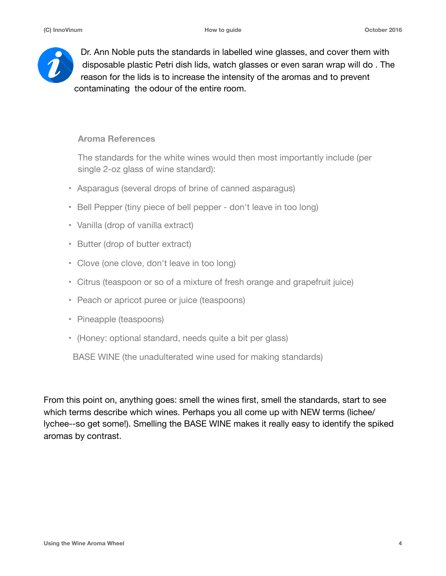

Dr. Ann Noble puts the standards in labelled wine glasses, and cover them with disposable plastic Petri dish lids, watch glasses or even saran wrap will do . The reason for the lids is to increase the intensity of the aromas and to prevent contaminating the odour of the entire room.

#### **Aroma References**

The standards for the white wines would then most importantly include (per single 2-oz glass of wine standard):

- Asparagus (several drops of brine of canned asparagus)
- Bell Pepper (tiny piece of bell pepper don't leave in too long)
- Vanilla (drop of vanilla extract)
- Butter (drop of butter extract)
- Clove (one clove, don't leave in too long)
- Citrus (teaspoon or so of a mixture of fresh orange and grapefruit juice)
- Peach or apricot puree or juice (teaspoons)
- Pineapple (teaspoons)
- (Honey: optional standard, needs quite a bit per glass)

BASE WINE (the unadulterated wine used for making standards)

From this point on, anything goes: smell the wines first, smell the standards, start to see which terms describe which wines. Perhaps you all come up with NEW terms (lichee/ lychee--so get some!). Smelling the BASE WINE makes it really easy to identify the spiked aromas by contrast.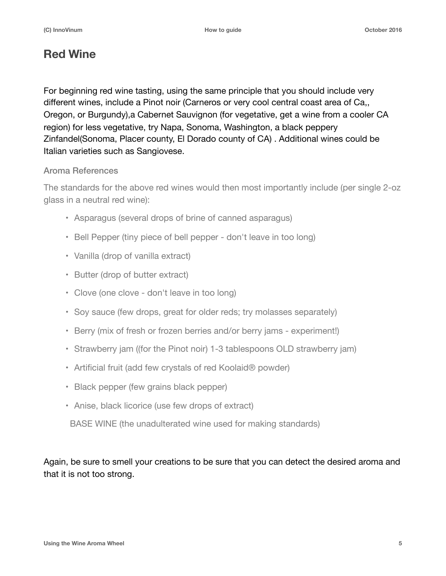## **Red Wine**

For beginning red wine tasting, using the same principle that you should include very different wines, include a Pinot noir (Carneros or very cool central coast area of Ca,, Oregon, or Burgundy),a Cabernet Sauvignon (for vegetative, get a wine from a cooler CA region) for less vegetative, try Napa, Sonoma, Washington, a black peppery Zinfandel(Sonoma, Placer county, El Dorado county of CA) . Additional wines could be Italian varieties such as Sangiovese.

#### Aroma References

The standards for the above red wines would then most importantly include (per single 2-oz glass in a neutral red wine):

- Asparagus (several drops of brine of canned asparagus)
- Bell Pepper (tiny piece of bell pepper don't leave in too long)
- Vanilla (drop of vanilla extract)
- Butter (drop of butter extract)
- Clove (one clove don't leave in too long)
- Soy sauce (few drops, great for older reds; try molasses separately)
- Berry (mix of fresh or frozen berries and/or berry jams experiment!)
- Strawberry jam ((for the Pinot noir) 1-3 tablespoons OLD strawberry jam)
- Artificial fruit (add few crystals of red Koolaid® powder)
- Black pepper (few grains black pepper)
- Anise, black licorice (use few drops of extract)

BASE WINE (the unadulterated wine used for making standards)

Again, be sure to smell your creations to be sure that you can detect the desired aroma and that it is not too strong.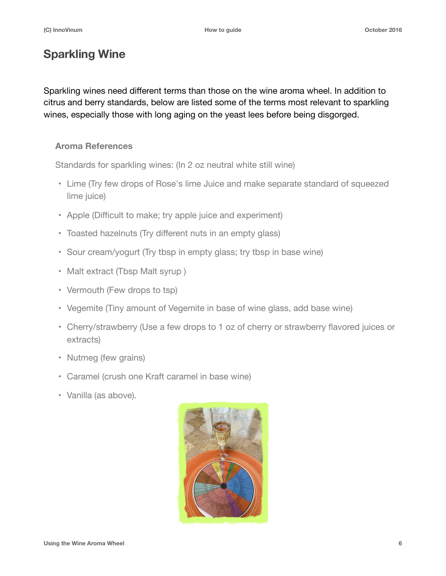# **Sparkling Wine**

Sparkling wines need different terms than those on the wine aroma wheel. In addition to citrus and berry standards, below are listed some of the terms most relevant to sparkling wines, especially those with long aging on the yeast lees before being disgorged.

#### **Aroma References**

Standards for sparkling wines: (In 2 oz neutral white still wine)

- Lime (Try few drops of Rose's lime Juice and make separate standard of squeezed lime juice)
- Apple (Difficult to make; try apple juice and experiment)
- Toasted hazelnuts (Try different nuts in an empty glass)
- Sour cream/yogurt (Try tbsp in empty glass; try tbsp in base wine)
- Malt extract (Tbsp Malt syrup)
- Vermouth (Few drops to tsp)
- Vegemite (Tiny amount of Vegemite in base of wine glass, add base wine)
- Cherry/strawberry (Use a few drops to 1 oz of cherry or strawberry flavored juices or extracts)
- Nutmeg (few grains)
- Caramel (crush one Kraft caramel in base wine)
- Vanilla (as above).